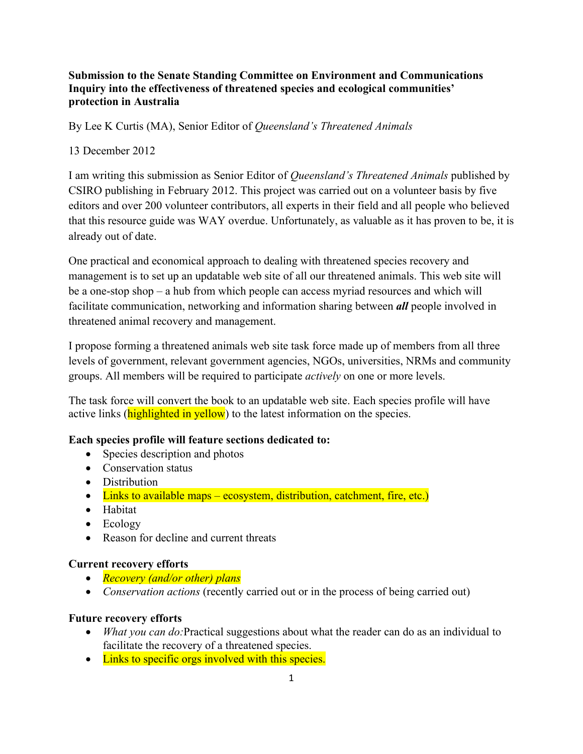## **Submission to the Senate Standing Committee on Environment and Communications Inquiry into the effectiveness of threatened species and ecological communities' protection in Australia**

By Lee K Curtis (MA), Senior Editor of *Queensland's Threatened Animals*

### 13 December 2012

I am writing this submission as Senior Editor of *Queensland's Threatened Animals* published by CSIRO publishing in February 2012. This project was carried out on a volunteer basis by five editors and over 200 volunteer contributors, all experts in their field and all people who believed that this resource guide was WAY overdue. Unfortunately, as valuable as it has proven to be, it is already out of date.

One practical and economical approach to dealing with threatened species recovery and management is to set up an updatable web site of all our threatened animals. This web site will be a one-stop shop – a hub from which people can access myriad resources and which will facilitate communication, networking and information sharing between *all* people involved in threatened animal recovery and management.

I propose forming a threatened animals web site task force made up of members from all three levels of government, relevant government agencies, NGOs, universities, NRMs and community groups. All members will be required to participate *actively* on one or more levels.

The task force will convert the book to an updatable web site. Each species profile will have active links (highlighted in yellow) to the latest information on the species.

#### **Each species profile will feature sections dedicated to:**

- Species description and photos
- Conservation status
- Distribution
- $\bullet$  Links to available maps ecosystem, distribution, catchment, fire, etc.)
- Habitat
- Ecology
- Reason for decline and current threats

#### **Current recovery efforts**

- *Recovery (and/or other) plans*
- *Conservation actions* (recently carried out or in the process of being carried out)

#### **Future recovery efforts**

- *What you can do:*Practical suggestions about what the reader can do as an individual to facilitate the recovery of a threatened species.
- Links to specific orgs involved with this species.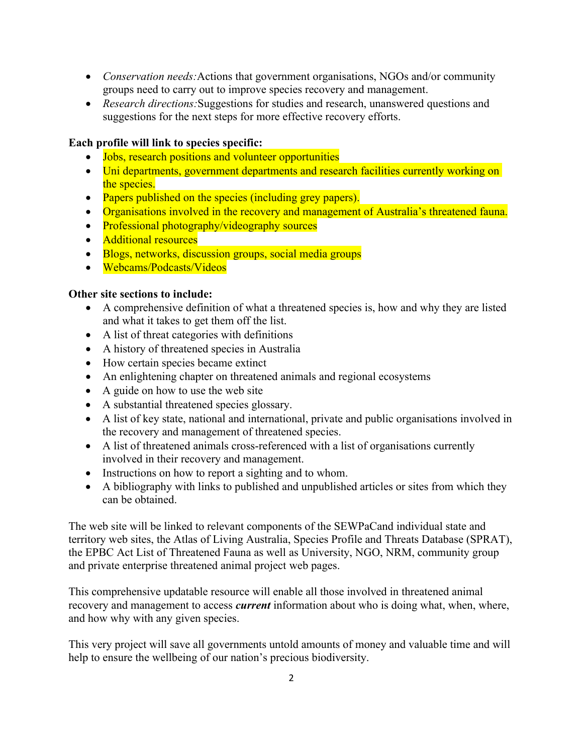- *Conservation needs:*Actions that government organisations, NGOs and/or community groups need to carry out to improve species recovery and management.
- *Research directions:*Suggestions for studies and research, unanswered questions and suggestions for the next steps for more effective recovery efforts.

#### **Each profile will link to species specific:**

- Jobs, research positions and volunteer opportunities
- Uni departments, government departments and research facilities currently working on the species.
- Papers published on the species (including grey papers).
- Organisations involved in the recovery and management of Australia's threatened fauna.
- Professional photography/videography sources
- Additional resources
- Blogs, networks, discussion groups, social media groups
- Webcams/Podcasts/Videos

#### **Other site sections to include:**

- A comprehensive definition of what a threatened species is, how and why they are listed and what it takes to get them off the list.
- A list of threat categories with definitions
- A history of threatened species in Australia
- How certain species became extinct
- An enlightening chapter on threatened animals and regional ecosystems
- A guide on how to use the web site
- A substantial threatened species glossary.
- A list of key state, national and international, private and public organisations involved in the recovery and management of threatened species.
- A list of threatened animals cross-referenced with a list of organisations currently involved in their recovery and management.
- Instructions on how to report a sighting and to whom.
- A bibliography with links to published and unpublished articles or sites from which they can be obtained.

The web site will be linked to relevant components of the SEWPaCand individual state and territory web sites, the Atlas of Living Australia, Species Profile and Threats Database (SPRAT), the EPBC Act List of Threatened Fauna as well as University, NGO, NRM, community group and private enterprise threatened animal project web pages.

This comprehensive updatable resource will enable all those involved in threatened animal recovery and management to access *current* information about who is doing what, when, where, and how why with any given species.

This very project will save all governments untold amounts of money and valuable time and will help to ensure the wellbeing of our nation's precious biodiversity.